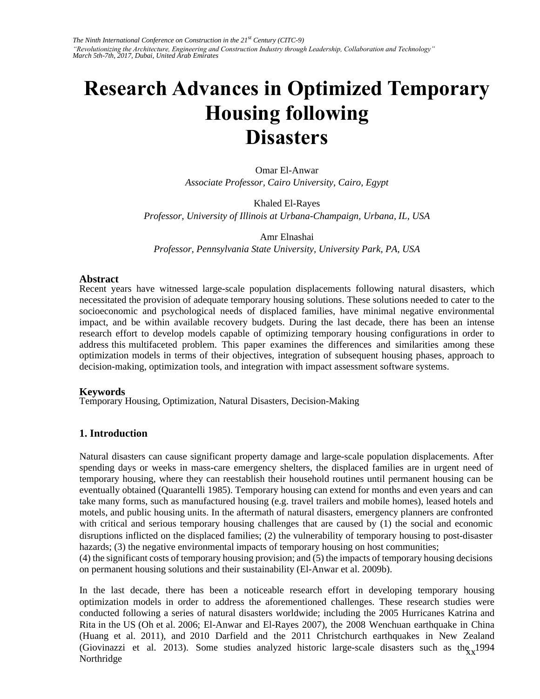# **Research Advances in Optimized Temporary Housing following Disasters**

Omar El-Anwar *Associate Professor, Cairo University, Cairo, Egypt* 

Khaled El-Rayes *Professor, University of Illinois at Urbana-Champaign, Urbana, IL, USA* 

Amr Elnashai *Professor, Pennsylvania State University, University Park, PA, USA* 

#### **Abstract**

Recent years have witnessed large-scale population displacements following natural disasters, which necessitated the provision of adequate temporary housing solutions. These solutions needed to cater to the socioeconomic and psychological needs of displaced families, have minimal negative environmental impact, and be within available recovery budgets. During the last decade, there has been an intense research effort to develop models capable of optimizing temporary housing configurations in order to address this multifaceted problem. This paper examines the differences and similarities among these optimization models in terms of their objectives, integration of subsequent housing phases, approach to decision-making, optimization tools, and integration with impact assessment software systems.

#### **Keywords**

Temporary Housing, Optimization, Natural Disasters, Decision-Making

#### **1. Introduction**

Natural disasters can cause significant property damage and large-scale population displacements. After spending days or weeks in mass-care emergency shelters, the displaced families are in urgent need of temporary housing, where they can reestablish their household routines until permanent housing can be eventually obtained (Quarantelli 1985). Temporary housing can extend for months and even years and can take many forms, such as manufactured housing (e.g. travel trailers and mobile homes), leased hotels and motels, and public housing units. In the aftermath of natural disasters, emergency planners are confronted with critical and serious temporary housing challenges that are caused by (1) the social and economic disruptions inflicted on the displaced families; (2) the vulnerability of temporary housing to post-disaster hazards; (3) the negative environmental impacts of temporary housing on host communities;

(4) the significant costs of temporary housing provision; and (5) the impacts of temporary housing decisions on permanent housing solutions and their sustainability (El-Anwar et al. 2009b).

(Giovinazzi et al. 2013). Some studies analyzed historic large-scale disasters such as  $\frac{h_{xx}}{2}$ 1994 in the control of the control of the control of the control of the control of the control of the control of th In the last decade, there has been a noticeable research effort in developing temporary housing optimization models in order to address the aforementioned challenges. These research studies were conducted following a series of natural disasters worldwide; including the 2005 Hurricanes Katrina and Rita in the US (Oh et al. 2006; El-Anwar and El-Rayes 2007), the 2008 Wenchuan earthquake in China (Huang et al. 2011), and 2010 Darfield and the 2011 Christchurch earthquakes in New Zealand Northridge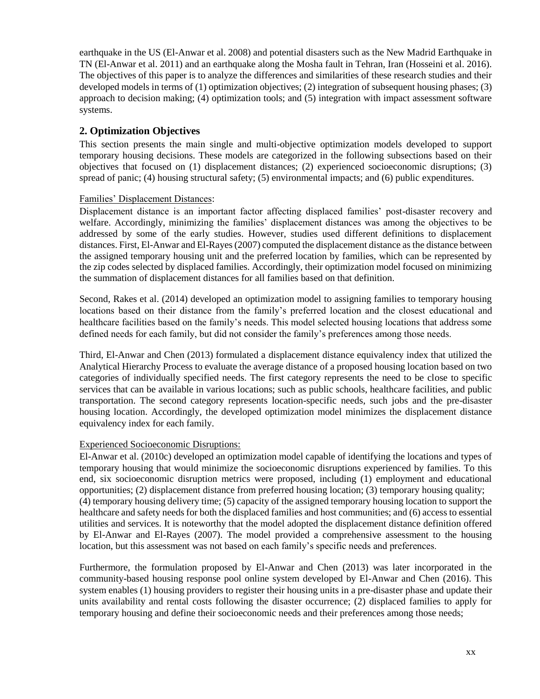earthquake in the US (El-Anwar et al. 2008) and potential disasters such as the New Madrid Earthquake in TN (El-Anwar et al. 2011) and an earthquake along the Mosha fault in Tehran, Iran (Hosseini et al. 2016). The objectives of this paper is to analyze the differences and similarities of these research studies and their developed models in terms of (1) optimization objectives; (2) integration of subsequent housing phases; (3) approach to decision making; (4) optimization tools; and (5) integration with impact assessment software systems.

## **2. Optimization Objectives**

This section presents the main single and multi-objective optimization models developed to support temporary housing decisions. These models are categorized in the following subsections based on their objectives that focused on (1) displacement distances; (2) experienced socioeconomic disruptions; (3) spread of panic; (4) housing structural safety; (5) environmental impacts; and (6) public expenditures.

## Families' Displacement Distances:

Displacement distance is an important factor affecting displaced families' post-disaster recovery and welfare. Accordingly, minimizing the families' displacement distances was among the objectives to be addressed by some of the early studies. However, studies used different definitions to displacement distances. First, El-Anwar and El-Rayes (2007) computed the displacement distance as the distance between the assigned temporary housing unit and the preferred location by families, which can be represented by the zip codes selected by displaced families. Accordingly, their optimization model focused on minimizing the summation of displacement distances for all families based on that definition.

Second, Rakes et al. (2014) developed an optimization model to assigning families to temporary housing locations based on their distance from the family's preferred location and the closest educational and healthcare facilities based on the family's needs. This model selected housing locations that address some defined needs for each family, but did not consider the family's preferences among those needs.

Third, El-Anwar and Chen (2013) formulated a displacement distance equivalency index that utilized the Analytical Hierarchy Process to evaluate the average distance of a proposed housing location based on two categories of individually specified needs. The first category represents the need to be close to specific services that can be available in various locations; such as public schools, healthcare facilities, and public transportation. The second category represents location-specific needs, such jobs and the pre-disaster housing location. Accordingly, the developed optimization model minimizes the displacement distance equivalency index for each family.

## Experienced Socioeconomic Disruptions:

El-Anwar et al. (2010c) developed an optimization model capable of identifying the locations and types of temporary housing that would minimize the socioeconomic disruptions experienced by families. To this end, six socioeconomic disruption metrics were proposed, including (1) employment and educational opportunities; (2) displacement distance from preferred housing location; (3) temporary housing quality; (4) temporary housing delivery time; (5) capacity of the assigned temporary housing location to support the healthcare and safety needs for both the displaced families and host communities; and (6) access to essential utilities and services. It is noteworthy that the model adopted the displacement distance definition offered by El-Anwar and El-Rayes (2007). The model provided a comprehensive assessment to the housing location, but this assessment was not based on each family's specific needs and preferences.

Furthermore, the formulation proposed by El-Anwar and Chen (2013) was later incorporated in the community-based housing response pool online system developed by El-Anwar and Chen (2016). This system enables (1) housing providers to register their housing units in a pre-disaster phase and update their units availability and rental costs following the disaster occurrence; (2) displaced families to apply for temporary housing and define their socioeconomic needs and their preferences among those needs;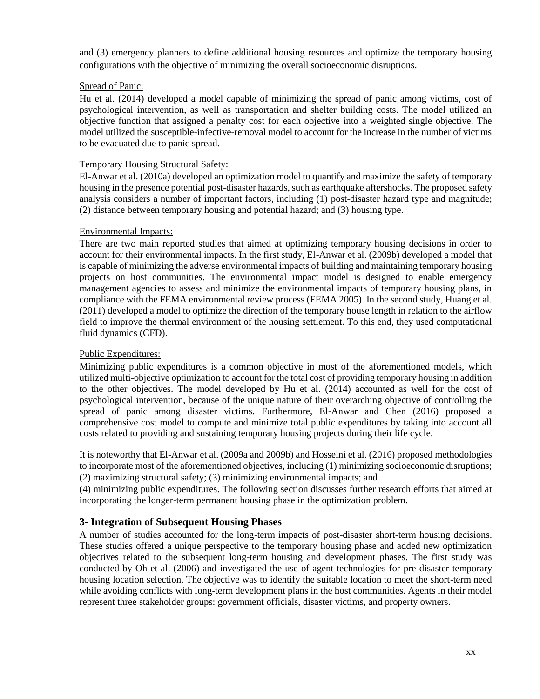and (3) emergency planners to define additional housing resources and optimize the temporary housing configurations with the objective of minimizing the overall socioeconomic disruptions.

#### Spread of Panic:

Hu et al. (2014) developed a model capable of minimizing the spread of panic among victims, cost of psychological intervention, as well as transportation and shelter building costs. The model utilized an objective function that assigned a penalty cost for each objective into a weighted single objective. The model utilized the susceptible-infective-removal model to account for the increase in the number of victims to be evacuated due to panic spread.

#### Temporary Housing Structural Safety:

El-Anwar et al. (2010a) developed an optimization model to quantify and maximize the safety of temporary housing in the presence potential post-disaster hazards, such as earthquake aftershocks. The proposed safety analysis considers a number of important factors, including (1) post-disaster hazard type and magnitude; (2) distance between temporary housing and potential hazard; and (3) housing type.

#### Environmental Impacts:

There are two main reported studies that aimed at optimizing temporary housing decisions in order to account for their environmental impacts. In the first study, El-Anwar et al. (2009b) developed a model that is capable of minimizing the adverse environmental impacts of building and maintaining temporary housing projects on host communities. The environmental impact model is designed to enable emergency management agencies to assess and minimize the environmental impacts of temporary housing plans, in compliance with the FEMA environmental review process (FEMA 2005). In the second study, Huang et al. (2011) developed a model to optimize the direction of the temporary house length in relation to the airflow field to improve the thermal environment of the housing settlement. To this end, they used computational fluid dynamics (CFD).

## Public Expenditures:

Minimizing public expenditures is a common objective in most of the aforementioned models, which utilized multi-objective optimization to account for the total cost of providing temporary housing in addition to the other objectives. The model developed by Hu et al. (2014) accounted as well for the cost of psychological intervention, because of the unique nature of their overarching objective of controlling the spread of panic among disaster victims. Furthermore, El-Anwar and Chen (2016) proposed a comprehensive cost model to compute and minimize total public expenditures by taking into account all costs related to providing and sustaining temporary housing projects during their life cycle.

It is noteworthy that El-Anwar et al. (2009a and 2009b) and Hosseini et al. (2016) proposed methodologies to incorporate most of the aforementioned objectives, including (1) minimizing socioeconomic disruptions; (2) maximizing structural safety; (3) minimizing environmental impacts; and

(4) minimizing public expenditures. The following section discusses further research efforts that aimed at incorporating the longer-term permanent housing phase in the optimization problem.

## **3- Integration of Subsequent Housing Phases**

A number of studies accounted for the long-term impacts of post-disaster short-term housing decisions. These studies offered a unique perspective to the temporary housing phase and added new optimization objectives related to the subsequent long-term housing and development phases. The first study was conducted by Oh et al. (2006) and investigated the use of agent technologies for pre-disaster temporary housing location selection. The objective was to identify the suitable location to meet the short-term need while avoiding conflicts with long-term development plans in the host communities. Agents in their model represent three stakeholder groups: government officials, disaster victims, and property owners.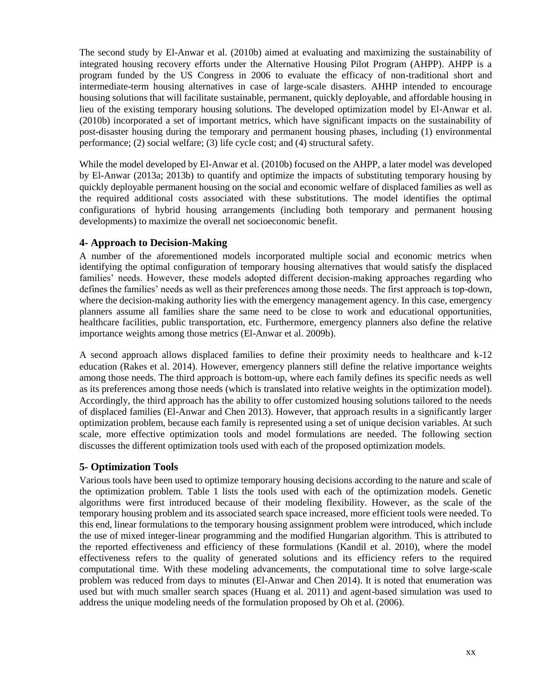The second study by El-Anwar et al. (2010b) aimed at evaluating and maximizing the sustainability of integrated housing recovery efforts under the Alternative Housing Pilot Program (AHPP). AHPP is a program funded by the US Congress in 2006 to evaluate the efficacy of non-traditional short and intermediate-term housing alternatives in case of large-scale disasters. AHHP intended to encourage housing solutions that will facilitate sustainable, permanent, quickly deployable, and affordable housing in lieu of the existing temporary housing solutions. The developed optimization model by El-Anwar et al. (2010b) incorporated a set of important metrics, which have significant impacts on the sustainability of post-disaster housing during the temporary and permanent housing phases, including (1) environmental performance; (2) social welfare; (3) life cycle cost; and (4) structural safety.

While the model developed by El-Anwar et al. (2010b) focused on the AHPP, a later model was developed by El-Anwar (2013a; 2013b) to quantify and optimize the impacts of substituting temporary housing by quickly deployable permanent housing on the social and economic welfare of displaced families as well as the required additional costs associated with these substitutions. The model identifies the optimal configurations of hybrid housing arrangements (including both temporary and permanent housing developments) to maximize the overall net socioeconomic benefit.

## **4- Approach to Decision-Making**

A number of the aforementioned models incorporated multiple social and economic metrics when identifying the optimal configuration of temporary housing alternatives that would satisfy the displaced families' needs. However, these models adopted different decision-making approaches regarding who defines the families' needs as well as their preferences among those needs. The first approach is top-down, where the decision-making authority lies with the emergency management agency. In this case, emergency planners assume all families share the same need to be close to work and educational opportunities, healthcare facilities, public transportation, etc. Furthermore, emergency planners also define the relative importance weights among those metrics (El-Anwar et al. 2009b).

A second approach allows displaced families to define their proximity needs to healthcare and k-12 education (Rakes et al. 2014). However, emergency planners still define the relative importance weights among those needs. The third approach is bottom-up, where each family defines its specific needs as well as its preferences among those needs (which is translated into relative weights in the optimization model). Accordingly, the third approach has the ability to offer customized housing solutions tailored to the needs of displaced families (El-Anwar and Chen 2013). However, that approach results in a significantly larger optimization problem, because each family is represented using a set of unique decision variables. At such scale, more effective optimization tools and model formulations are needed. The following section discusses the different optimization tools used with each of the proposed optimization models.

## **5- Optimization Tools**

Various tools have been used to optimize temporary housing decisions according to the nature and scale of the optimization problem. Table 1 lists the tools used with each of the optimization models. Genetic algorithms were first introduced because of their modeling flexibility. However, as the scale of the temporary housing problem and its associated search space increased, more efficient tools were needed. To this end, linear formulations to the temporary housing assignment problem were introduced, which include the use of mixed integer-linear programming and the modified Hungarian algorithm. This is attributed to the reported effectiveness and efficiency of these formulations (Kandil et al. 2010), where the model effectiveness refers to the quality of generated solutions and its efficiency refers to the required computational time. With these modeling advancements, the computational time to solve large-scale problem was reduced from days to minutes (El-Anwar and Chen 2014). It is noted that enumeration was used but with much smaller search spaces (Huang et al. 2011) and agent-based simulation was used to address the unique modeling needs of the formulation proposed by Oh et al. (2006).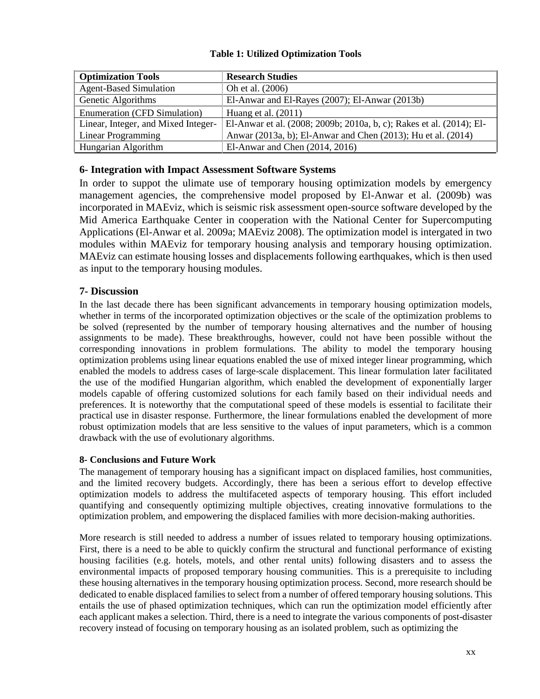| <b>Optimization Tools</b>           | <b>Research Studies</b>                                              |
|-------------------------------------|----------------------------------------------------------------------|
| <b>Agent-Based Simulation</b>       | Oh et al. (2006)                                                     |
| Genetic Algorithms                  | El-Anwar and El-Rayes (2007); El-Anwar (2013b)                       |
| <b>Enumeration (CFD Simulation)</b> | Huang et al. $(2011)$                                                |
| Linear, Integer, and Mixed Integer- | El-Anwar et al. (2008; 2009b; 2010a, b, c); Rakes et al. (2014); El- |
| Linear Programming                  | Anwar (2013a, b); El-Anwar and Chen (2013); Hu et al. (2014)         |
| Hungarian Algorithm                 | El-Anwar and Chen $(2014, 2016)$                                     |

## **Table 1: Utilized Optimization Tools**

## **6- Integration with Impact Assessment Software Systems**

In order to suppot the ulimate use of temporary housing optimization models by emergency management agencies, the comprehensive model proposed by El-Anwar et al. (2009b) was incorporated in MAEviz, which is seismic risk assessment open-source software developed by the Mid America Earthquake Center in cooperation with the National Center for Supercomputing Applications (El-Anwar et al. 2009a; MAEviz 2008). The optimization model is intergated in two modules within MAEviz for temporary housing analysis and temporary housing optimization. MAEviz can estimate housing losses and displacements following earthquakes, which is then used as input to the temporary housing modules.

## **7- Discussion**

In the last decade there has been significant advancements in temporary housing optimization models, whether in terms of the incorporated optimization objectives or the scale of the optimization problems to be solved (represented by the number of temporary housing alternatives and the number of housing assignments to be made). These breakthroughs, however, could not have been possible without the corresponding innovations in problem formulations. The ability to model the temporary housing optimization problems using linear equations enabled the use of mixed integer linear programming, which enabled the models to address cases of large-scale displacement. This linear formulation later facilitated the use of the modified Hungarian algorithm, which enabled the development of exponentially larger models capable of offering customized solutions for each family based on their individual needs and preferences. It is noteworthy that the computational speed of these models is essential to facilitate their practical use in disaster response. Furthermore, the linear formulations enabled the development of more robust optimization models that are less sensitive to the values of input parameters, which is a common drawback with the use of evolutionary algorithms.

#### **8- Conclusions and Future Work**

The management of temporary housing has a significant impact on displaced families, host communities, and the limited recovery budgets. Accordingly, there has been a serious effort to develop effective optimization models to address the multifaceted aspects of temporary housing. This effort included quantifying and consequently optimizing multiple objectives, creating innovative formulations to the optimization problem, and empowering the displaced families with more decision-making authorities.

More research is still needed to address a number of issues related to temporary housing optimizations. First, there is a need to be able to quickly confirm the structural and functional performance of existing housing facilities (e.g. hotels, motels, and other rental units) following disasters and to assess the environmental impacts of proposed temporary housing communities. This is a prerequisite to including these housing alternatives in the temporary housing optimization process. Second, more research should be dedicated to enable displaced families to select from a number of offered temporary housing solutions. This entails the use of phased optimization techniques, which can run the optimization model efficiently after each applicant makes a selection. Third, there is a need to integrate the various components of post-disaster recovery instead of focusing on temporary housing as an isolated problem, such as optimizing the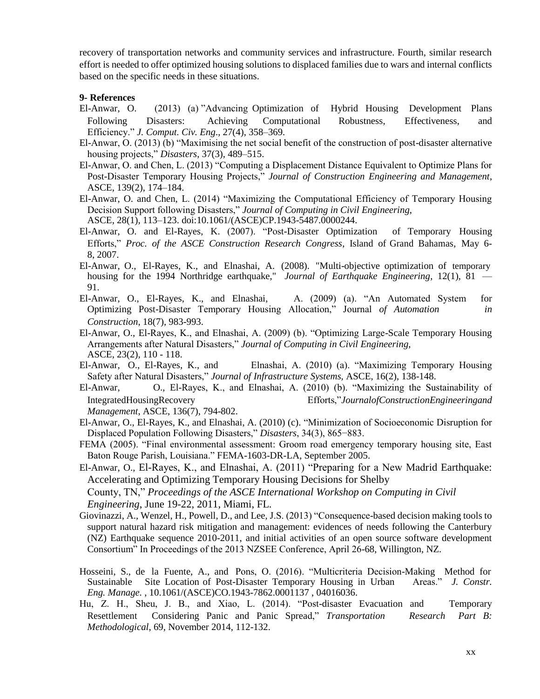recovery of transportation networks and community services and infrastructure. Fourth, similar research effort is needed to offer optimized housing solutions to displaced families due to wars and internal conflicts based on the specific needs in these situations.

#### **9- References**

- El-Anwar, O. (2013) (a) "Advancing Optimization of Hybrid Housing Development Plans Following Disasters: Achieving Computational Robustness, Effectiveness, and Efficiency." *J. Comput. Civ. Eng*., 27(4), 358–369.
- El-Anwar, O. (2013) (b) "Maximising the net social benefit of the construction of post-disaster alternative housing projects," *Disasters*, 37(3), 489–515.
- El-Anwar, O. and Chen, L. (2013) "Computing a Displacement Distance Equivalent to Optimize Plans for Post-Disaster Temporary Housing Projects," *Journal of Construction Engineering and Management*, ASCE, 139(2), 174–184.
- El-Anwar, O. and Chen, L. (2014) "Maximizing the Computational Efficiency of Temporary Housing Decision Support following Disasters," *Journal of Computing in Civil Engineering*, ASCE, 28(1), 113–123. doi:10.1061/(ASCE)CP.1943-5487.0000244.
- El-Anwar, O. and El-Rayes, K. (2007). "Post-Disaster Optimization of Temporary Housing Efforts," *Proc. of the ASCE Construction Research Congress*, Island of Grand Bahamas, May 6- 8, 2007.
- El-Anwar, O., El-Rayes, K., and Elnashai, A. (2008). "Multi-objective optimization of temporary housing for the 1994 Northridge earthquake," *Journal of Earthquake Engineering*, 12(1), 81 — 91.
- El-Anwar, O., El-Rayes, K., and Elnashai, A. (2009) (a). "An Automated System for Optimizing Post-Disaster Temporary Housing Allocation," Journal *of Automation in Construction*, 18(7), 983-993.
- El-Anwar, O., El-Rayes, K., and Elnashai, A. (2009) (b). "Optimizing Large-Scale Temporary Housing Arrangements after Natural Disasters," *Journal of Computing in Civil Engineering*, ASCE, 23(2), 110 - 118.
- El-Anwar, O., El-Rayes, K., and Elnashai, A. (2010) (a). "Maximizing Temporary Housing Safety after Natural Disasters," *Journal of Infrastructure Systems,* ASCE, 16(2), 138-148.
- El-Anwar, O., El-Rayes, K., and Elnashai, A. (2010) (b). "Maximizing the Sustainability of IntegratedHousingRecovery Efforts,"*JournalofConstructionEngineeringand Management*, ASCE, 136(7), 794-802.
- El-Anwar, O., El-Rayes, K., and Elnashai, A. (2010) (c). "Minimization of Socioeconomic Disruption for Displaced Population Following Disasters," *Disasters*, 34(3), 865−883.
- FEMA (2005). "Final environmental assessment: Groom road emergency temporary housing site, East Baton Rouge Parish, Louisiana." FEMA-1603-DR-LA, September 2005.
- El-Anwar, O., El-Rayes, K., and Elnashai, A. (2011) "Preparing for a New Madrid Earthquake: Accelerating and Optimizing Temporary Housing Decisions for Shelby County, TN," *Proceedings of the ASCE International Workshop on Computing in Civil Engineering*, June 19-22, 2011, Miami, FL.
- Giovinazzi, A., Wenzel, H., Powell, D., and Lee, J.S. (2013) "Consequence-based decision making tools to support natural hazard risk mitigation and management: evidences of needs following the Canterbury (NZ) Earthquake sequence 2010-2011, and initial activities of an open source software development Consortium" In Proceedings of the 2013 NZSEE Conference, April 26-68, Willington, NZ.
- Hosseini, S., de la Fuente, A., and Pons, O. (2016). "Multicriteria Decision-Making Method for Sustainable Site Location of Post-Disaster Temporary Housing in Urban Areas." *J. Constr. Eng. Manage.* , 10.1061/(ASCE)CO.1943-7862.0001137 , 04016036.
- Hu, Z. H., Sheu, J. B., and Xiao, L. (2014). "Post-disaster Evacuation and Temporary Resettlement Considering Panic and Panic Spread," *Transportation Research Part B: Methodological*, 69, November 2014, 112-132.